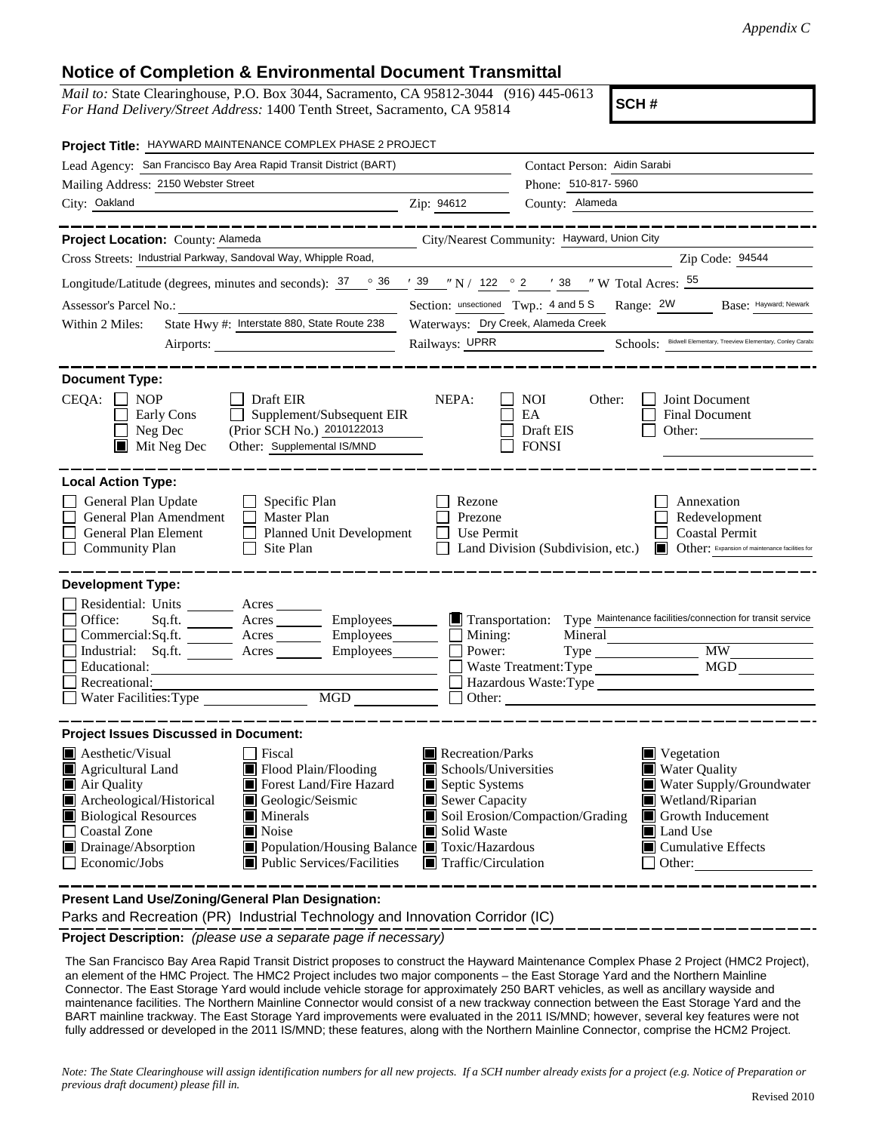## **Notice of Completion & Environmental Document Transmittal**

*Mail to:* State Clearinghouse, P.O. Box 3044, Sacramento, CA 95812-3044 (916) 445-0613 *For Hand Delivery/Street Address:* 1400 Tenth Street, Sacramento, CA 95814

**SCH #**

| Project Title: HAYWARD MAINTENANCE COMPLEX PHASE 2 PROJECT                                                                                                                                                                                                                                                                                                                                   |                                                                                                                    |                                                                                                                                                                                                                         |  |
|----------------------------------------------------------------------------------------------------------------------------------------------------------------------------------------------------------------------------------------------------------------------------------------------------------------------------------------------------------------------------------------------|--------------------------------------------------------------------------------------------------------------------|-------------------------------------------------------------------------------------------------------------------------------------------------------------------------------------------------------------------------|--|
| Lead Agency: San Francisco Bay Area Rapid Transit District (BART)                                                                                                                                                                                                                                                                                                                            |                                                                                                                    | Contact Person: Aidin Sarabi                                                                                                                                                                                            |  |
| Mailing Address: 2150 Webster Street                                                                                                                                                                                                                                                                                                                                                         |                                                                                                                    | Phone: 510-817-5960                                                                                                                                                                                                     |  |
| City: Oakland                                                                                                                                                                                                                                                                                                                                                                                | Zip: 94612                                                                                                         | County: Alameda                                                                                                                                                                                                         |  |
| Project Location: County: Alameda                                                                                                                                                                                                                                                                                                                                                            |                                                                                                                    | City/Nearest Community: Hayward, Union City                                                                                                                                                                             |  |
| Cross Streets: Industrial Parkway, Sandoval Way, Whipple Road,                                                                                                                                                                                                                                                                                                                               |                                                                                                                    | Zip Code: 94544<br><u> 1980 - Johann Barn, mars ann an t-Amhain Aonaich an t-Aonaich an t-Aonaich an t-Aonaich an t-Aonaich ann an t-</u>                                                                               |  |
| Longitude/Latitude (degrees, minutes and seconds): $37 \degree$ $36 \degree$ $39 \degree$ N / 122 $\degree$ 2 $\degree$ 38 $\degree$ W Total Acres: $55 \degree$                                                                                                                                                                                                                             |                                                                                                                    |                                                                                                                                                                                                                         |  |
| Assessor's Parcel No.:<br><u> 1989 - Johann Barn, mars eta bainar eta idazlea (</u>                                                                                                                                                                                                                                                                                                          | Section: unsectioned Twp.: 4 and 5 S Range: 2W<br>Base: Hayward; Newark                                            |                                                                                                                                                                                                                         |  |
| State Hwy #: Interstate 880, State Route 238<br>Within 2 Miles:                                                                                                                                                                                                                                                                                                                              | Waterways: Dry Creek, Alameda Creek                                                                                |                                                                                                                                                                                                                         |  |
|                                                                                                                                                                                                                                                                                                                                                                                              | Schools: Bidwell Elementary, Treeview Elementary, Conley Caraba<br>Railways: UPRR                                  |                                                                                                                                                                                                                         |  |
| <b>Document Type:</b>                                                                                                                                                                                                                                                                                                                                                                        |                                                                                                                    |                                                                                                                                                                                                                         |  |
| $CEQA: \Box NP$<br><b>Draft EIR</b><br>Early Cons<br>$\Box$ Supplement/Subsequent EIR<br>Neg Dec<br>(Prior SCH No.) 2010122013<br>Other: Supplemental IS/MND<br>$\blacksquare$ Mit Neg Dec                                                                                                                                                                                                   | NEPA:<br>$\mathsf{L}$                                                                                              | <b>NOI</b><br>Other:<br>Joint Document<br>EA<br>Final Document<br>Draft EIS<br>Other: $\qquad \qquad$<br><b>FONSI</b>                                                                                                   |  |
| <b>Local Action Type:</b>                                                                                                                                                                                                                                                                                                                                                                    |                                                                                                                    |                                                                                                                                                                                                                         |  |
| General Plan Update<br>Specific Plan<br>General Plan Amendment<br>Master Plan<br>General Plan Element<br>Planned Unit Development<br>Site Plan<br><b>Community Plan</b>                                                                                                                                                                                                                      | Rezone<br>Prezone<br>Use Permit                                                                                    | Annexation<br>Redevelopment<br><b>Coastal Permit</b><br>Land Division (Subdivision, etc.)<br>Other: Expansion of maintenance facilities for                                                                             |  |
| <b>Development Type:</b>                                                                                                                                                                                                                                                                                                                                                                     |                                                                                                                    |                                                                                                                                                                                                                         |  |
| Residential: Units ________ Acres<br>Office:<br>Acres<br>Sq.ft.<br>Commercial:Sq.ft. ________ Acres _______<br>Industrial: Sq.ft. _______ Acres ______<br>Employees<br>Educational:<br>Recreational:<br>MGD<br>Water Facilities: Type                                                                                                                                                        | Power:<br>Other:                                                                                                   | Mineral<br>$Type$ $MW$ $MW$<br>Hazardous Waste:Type<br><u> 1989 - Johann Barn, mars et al. (b. 1989)</u>                                                                                                                |  |
| <b>Project Issues Discussed in Document:</b>                                                                                                                                                                                                                                                                                                                                                 |                                                                                                                    |                                                                                                                                                                                                                         |  |
| <b>Aesthetic/Visual</b><br>  Fiscal<br>$\blacksquare$ Flood Plain/Flooding<br>Agricultural Land<br>Forest Land/Fire Hazard<br>Air Quality<br>Archeological/Historical<br>Geologic/Seismic<br><b>Biological Resources</b><br>Minerals<br><b>Coastal Zone</b><br>Noise<br>Drainage/Absorption<br>■ Population/Housing Balance ■ Toxic/Hazardous<br>Economic/Jobs<br>Public Services/Facilities | Recreation/Parks<br>Schools/Universities<br>Septic Systems<br>Sewer Capacity<br>Solid Waste<br>Traffic/Circulation | $\blacksquare$ Vegetation<br>Water Quality<br>Ш<br>Water Supply/Groundwater<br>Wetland/Riparian<br>Soil Erosion/Compaction/Grading<br>$\Box$ Growth Inducement<br>Land Use<br><b>Cumulative Effects</b><br>IЦ<br>Other: |  |

**Present Land Use/Zoning/General Plan Designation:**

Parks and Recreation (PR) Industrial Technology and Innovation Corridor (IC)

**Project Description:** *(please use a separate page if necessary)*

 The San Francisco Bay Area Rapid Transit District proposes to construct the Hayward Maintenance Complex Phase 2 Project (HMC2 Project), an element of the HMC Project. The HMC2 Project includes two major components – the East Storage Yard and the Northern Mainline Connector. The East Storage Yard would include vehicle storage for approximately 250 BART vehicles, as well as ancillary wayside and maintenance facilities. The Northern Mainline Connector would consist of a new trackway connection between the East Storage Yard and the BART mainline trackway. The East Storage Yard improvements were evaluated in the 2011 IS/MND; however, several key features were not fully addressed or developed in the 2011 IS/MND; these features, along with the Northern Mainline Connector, comprise the HCM2 Project.

*Note: The State Clearinghouse will assign identification numbers for all new projects. If a SCH number already exists for a project (e.g. Notice of Preparation or previous draft document) please fill in.*